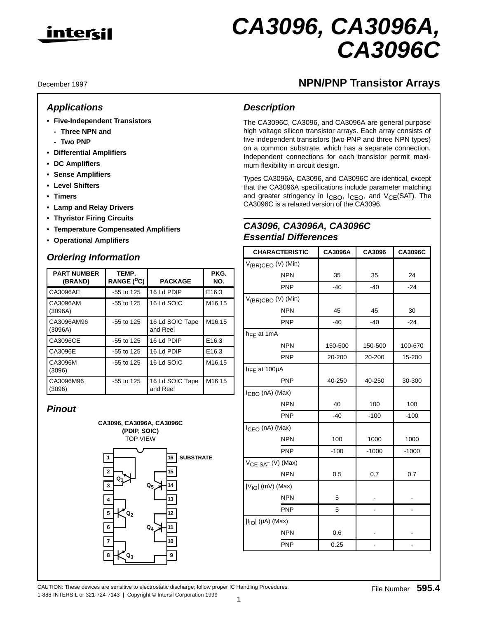

# **CA3096, CA3096A, CA3096C**

December 1997

## **Applications**

- **Five-Independent Transistors**
	- **Three NPN and**
	- **Two PNP**
- **Differential Amplifiers**
- **DC Amplifiers**
- **Sense Amplifiers**
- **Level Shifters**
- **Timers**
- **Lamp and Relay Drivers**
- **Thyristor Firing Circuits**
- **Temperature Compensated Amplifiers**
- **Operational Amplifiers**

## **Ordering Information**

| <b>PART NUMBER</b><br>(BRAND) | TEMP.<br>RANGE ( <sup>O</sup> C) | <b>PACKAGE</b>              | PKG.<br>NO.        |
|-------------------------------|----------------------------------|-----------------------------|--------------------|
| CA3096AE                      | $-55$ to 125                     | 16 Ld PDIP                  | E16.3              |
| CA3096AM<br>(3096A)           | $-55$ to 125                     | 16 Ld SOIC                  | M <sub>16.15</sub> |
| CA3096AM96<br>(3096A)         | $-55$ to 125                     | 16 Ld SOIC Tape<br>and Reel | M <sub>16.15</sub> |
| CA3096CE                      | $-55$ to 125                     | 16 Ld PDIP                  | E <sub>16.3</sub>  |
| CA3096E                       | $-55$ to 125                     | 16 Ld PDIP                  | E16.3              |
| CA3096M<br>(3096)             | $-55$ to 125                     | 16 Ld SOIC                  | M <sub>16.15</sub> |
| CA3096M96<br>(3096)           | $-55$ to 125                     | 16 Ld SOIC Tape<br>and Reel | M <sub>16.15</sub> |

## **Pinout**



# **NPN/PNP Transistor Arrays**

## **Description**

The CA3096C, CA3096, and CA3096A are general purpose high voltage silicon transistor arrays. Each array consists of five independent transistors (two PNP and three NPN types) on a common substrate, which has a separate connection. Independent connections for each transistor permit maximum flexibility in circuit design.

Types CA3096A, CA3096, and CA3096C are identical, except that the CA3096A specifications include parameter matching and greater stringency in I<sub>CBO</sub>, I<sub>CEO</sub>, and V<sub>CE</sub>(SAT). The CA3096C is a relaxed version of the CA3096.

## **CA3096, CA3096A, CA3096C Essential Differences**

| <b>CHARACTERISTIC</b>          | <b>CA3096A</b> | CA3096         | <b>CA3096C</b> |  |
|--------------------------------|----------------|----------------|----------------|--|
| V <sub>(BR)CEO</sub> (V) (Min) |                |                |                |  |
| <b>NPN</b>                     | 35             | 35             | 24             |  |
| PNP                            | $-40$          | $-40$          | $-24$          |  |
| V <sub>(BR)CBO</sub> (V) (Min) |                |                |                |  |
| <b>NPN</b>                     | 45             | 45             | 30             |  |
| PNP                            | $-40$          | $-40$          | $-24$          |  |
| $h_{\text{FE}}$ at 1mA         |                |                |                |  |
| <b>NPN</b>                     | 150-500        | 150-500        | 100-670        |  |
| PNP                            | 20-200         | 20-200         | 15-200         |  |
| $h_{FE}$ at 100 $\mu$ A        |                |                |                |  |
| <b>PNP</b>                     | 40-250         | 40-250         | 30-300         |  |
| I <sub>CBO</sub> (nA) (Max)    |                |                |                |  |
| <b>NPN</b>                     | 40             | 100            | 100            |  |
| <b>PNP</b>                     | $-40$          | $-100$         | $-100$         |  |
| I <sub>CEO</sub> (nA) (Max)    |                |                |                |  |
| <b>NPN</b>                     | 100            | 1000           | 1000           |  |
| PNP                            | $-100$         | $-1000$        | $-1000$        |  |
| V <sub>CE</sub> SAT (V) (Max)  |                |                |                |  |
| <b>NPN</b>                     | 0.5            | 0.7            | 0.7            |  |
| $ V_{IO} $ (mV) (Max)          |                |                |                |  |
| <b>NPN</b>                     | 5              |                |                |  |
| <b>PNP</b>                     | 5              | $\overline{a}$ | -              |  |
| $ I_{IO}  (\mu A)$ (Max)       |                |                |                |  |
| <b>NPN</b>                     | 0.6            |                |                |  |
| <b>PNP</b>                     | 0.25           |                |                |  |

CAUTION: These devices are sensitive to electrostatic discharge; follow proper IC Handling Procedures.<br>File Number 595.4 1-888-INTERSIL or 321-724-7143 | Copyright © Intersil Corporation 1999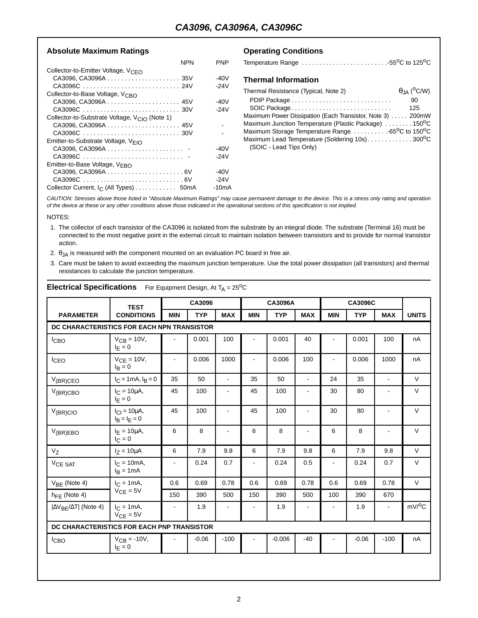### Absolute Maximum Ratings **Conditions Operating Conditions**

| NPN                                                       | PNP    |
|-----------------------------------------------------------|--------|
| Collector-to-Emitter Voltage, V <sub>CEO</sub>            |        |
|                                                           | -40V   |
| CA3096C  24V                                              | -24V   |
| Collector-to-Base Voltage, V <sub>CBO</sub>               |        |
|                                                           | -40V   |
|                                                           | $-24V$ |
| Collector-to-Substrate Voltage, V <sub>CIO</sub> (Note 1) |        |
|                                                           |        |
|                                                           |        |
| Emitter-to-Substrate Voltage, VEIO                        |        |
| CA3096, CA3096A                                           | -40V   |
| CA3096C                                                   | -24V   |
| Emitter-to-Base Voltage, VEBO                             |        |
|                                                           | -40V   |
|                                                           | $-24V$ |
| Collector Current, I <sub>C</sub> (All Types) 50mA        | -10mA  |

| Temperature Range 55°C to 125°C                                           |                      |
|---------------------------------------------------------------------------|----------------------|
| <b>Thermal Information</b>                                                |                      |
| Thermal Resistance (Typical, Note 2)                                      | $\theta_{JA}$ (°C/W) |
|                                                                           | 90                   |
| SOIC Package                                                              | 125                  |
| Maximum Power Dissipation (Each Transistor, Note 3)  200mW                |                      |
| Maximum Junction Temperature (Plastic Package) 150°C                      |                      |
| Maximum Storage Temperature Range 65 <sup>o</sup> C to 150 <sup>o</sup> C |                      |
| Maximum Lead Temperature (Soldering 10s)300°C<br>(SOIC - Lead Tips Only)  |                      |

CAUTION: Stresses above those listed in "Absolute Maximum Ratings" may cause permanent damage to the device. This is a stress only rating and operation of the device at these or any other conditions above those indicated in the operational sections of this specification is not implied.

#### NOTES:

- 1. The collector of each transistor of the CA3096 is isolated from the substrate by an integral diode. The substrate (Terminal 16) must be connected to the most negative point in the external circuit to maintain isolation between transistors and to provide for normal transistor action.
- 2.  $\theta$ <sub>JA</sub> is measured with the component mounted on an evaluation PC board in free air.
- 3. Care must be taken to avoid exceeding the maximum junction temperature. Use the total power dissipation (all transistors) and thermal resistances to calculate the junction temperature.

| <b>TEST</b>                         |                                            |            | CA3096     |                | <b>CA3096A</b> |            |                | <b>CA3096C</b> |            |                |                    |
|-------------------------------------|--------------------------------------------|------------|------------|----------------|----------------|------------|----------------|----------------|------------|----------------|--------------------|
| <b>PARAMETER</b>                    | <b>CONDITIONS</b>                          | <b>MIN</b> | <b>TYP</b> | <b>MAX</b>     | <b>MIN</b>     | <b>TYP</b> | <b>MAX</b>     | <b>MIN</b>     | <b>TYP</b> | <b>MAX</b>     | <b>UNITS</b>       |
|                                     | DC CHARACTERISTICS FOR EACH NPN TRANSISTOR |            |            |                |                |            |                |                |            |                |                    |
| <sup>I</sup> CBO                    | $V_{CB} = 10V$ ,<br>$I_F = 0$              |            | 0.001      | 100            |                | 0.001      | 40             |                | 0.001      | 100            | nA                 |
| <b>I</b> CEO                        | $V_{CE} = 10V$ ,<br>$I_R = 0$              |            | 0.006      | 1000           |                | 0.006      | 100            |                | 0.006      | 1000           | nA                 |
| $V_{(BR)CEO}$                       | $I_C = 1 \text{ mA}, I_B = 0$              | 35         | 50         | $\blacksquare$ | 35             | 50         | $\blacksquare$ | 24             | 35         | $\omega$       | $\vee$             |
| $V_{(BR)CBO}$                       | $I_C = 10 \mu A$ ,<br>$I_F = 0$            | 45         | 100        |                | 45             | 100        |                | 30             | 80         |                | $\vee$             |
| $V_{(BR)ClO}$                       | $I_{CI} = 10 \mu A$ ,<br>$I_B = I_E = 0$   | 45         | 100        |                | 45             | 100        | $\blacksquare$ | 30             | 80         |                | $\vee$             |
| $V_{(BR)EBO}$                       | $I_F = 10 \mu A$ ,<br>$I_{C} = 0$          | 6          | 8          | $\blacksquare$ | 6              | 8          | $\blacksquare$ | 6              | 8          | $\blacksquare$ | $\vee$             |
| $V_{Z}$                             | $I_7 = 10 \mu A$                           | 6          | 7.9        | 9.8            | 6              | 7.9        | 9.8            | 6              | 7.9        | 9.8            | $\vee$             |
| VCE SAT                             | $I_C = 10mA$ ,<br>$IB = 1mA$               |            | 0.24       | 0.7            | ä,             | 0.24       | 0.5            | $\overline{a}$ | 0.24       | 0.7            | $\vee$             |
| $V_{BE}$ (Note 4)                   | $I_C = 1mA$ ,                              | 0.6        | 0.69       | 0.78           | 0.6            | 0.69       | 0.78           | 0.6            | 0.69       | 0.78           | $\vee$             |
| $h_{\text{FF}}$ (Note 4)            | $V_{CE} = 5V$                              | 150        | 390        | 500            | 150            | 390        | 500            | 100            | 390        | 670            |                    |
| $ \Delta V_{BE}/\Delta T $ (Note 4) | $I_C = 1mA$ ,<br>$V_{CE} = 5V$             |            | 1.9        |                |                | 1.9        |                |                | 1.9        | $\blacksquare$ | mV/ <sup>o</sup> C |
|                                     | DC CHARACTERISTICS FOR EACH PNP TRANSISTOR |            |            |                |                |            |                |                |            |                |                    |
| <sup>I</sup> CBO                    | $V_{CB} = -10V$ ,<br>$I_F = 0$             |            | $-0.06$    | $-100$         |                | $-0.006$   | $-40$          |                | $-0.06$    | $-100$         | nA                 |
|                                     |                                            |            |            |                |                |            |                |                |            |                |                    |

#### **Electrical Specifications** For Equipment Design, At  $T_A = 25^{\circ}C$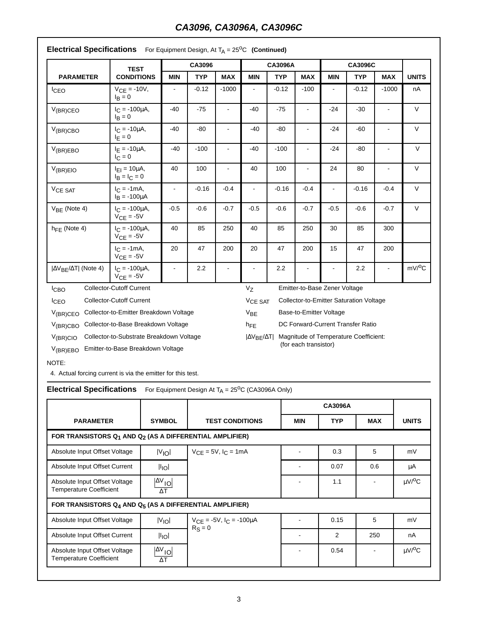# **CA3096, CA3096A, CA3096C**

|                                                                                                                                                                                                                 | <b>TEST</b>                              |            | CA3096     |                |                                                                | <b>CA3096A</b> |                               |                | <b>CA3096C</b>                    |                |              |
|-----------------------------------------------------------------------------------------------------------------------------------------------------------------------------------------------------------------|------------------------------------------|------------|------------|----------------|----------------------------------------------------------------|----------------|-------------------------------|----------------|-----------------------------------|----------------|--------------|
| <b>PARAMETER</b>                                                                                                                                                                                                | <b>CONDITIONS</b>                        | <b>MIN</b> | <b>TYP</b> | <b>MAX</b>     | <b>MIN</b>                                                     | <b>TYP</b>     | <b>MAX</b>                    | <b>MIN</b>     | <b>TYP</b>                        | <b>MAX</b>     | <b>UNITS</b> |
| <b>I</b> CEO                                                                                                                                                                                                    | $V_{CE} = -10V,$<br>$I_R = 0$            |            | $-0.12$    | $-1000$        |                                                                | $-0.12$        | $-100$                        |                | $-0.12$                           | $-1000$        | nA           |
| $V_{(BR)CEO}$                                                                                                                                                                                                   | $I_C = -100 \mu A$ ,<br>$I_B = 0$        | $-40$      | $-75$      |                | $-40$                                                          | $-75$          |                               | $-24$          | $-30$                             | $\blacksquare$ | $\vee$       |
| $V_{(BR)CBO}$                                                                                                                                                                                                   | $I_C = -10\mu A$ ,<br>$I_E = 0$          | $-40$      | $-80$      |                | $-40$                                                          | $-80$          |                               | $-24$          | $-60$                             |                | $\vee$       |
| $V_{(BR)EBO}$                                                                                                                                                                                                   | $I_F = -10\mu A$ ,<br>$I_C = 0$          | $-40$      | $-100$     |                | $-40$                                                          | $-100$         |                               | $-24$          | $-80$                             |                | $\vee$       |
| $V_{(BR)EIO}$                                                                                                                                                                                                   | $I_{F1} = 10 \mu A$ ,<br>$I_B = I_C = 0$ | 40         | 100        | $\blacksquare$ | 40                                                             | 100            | ÷,                            | 24             | 80                                | $\blacksquare$ | $\vee$       |
| V <sub>CE</sub> SAT                                                                                                                                                                                             | $I_{C} = -1mA$ ,<br>$I_B = -100 \mu A$   | ÷,         | $-0.16$    | $-0.4$         | ÷,                                                             | $-0.16$        | $-0.4$                        | $\blacksquare$ | $-0.16$                           | $-0.4$         | $\mathsf{V}$ |
| $V_{BF}$ (Note 4)                                                                                                                                                                                               | $I_C = -100 \mu A$ ,<br>$V_{CE} = -5V$   | $-0.5$     | $-0.6$     | $-0.7$         | $-0.5$                                                         | $-0.6$         | $-0.7$                        | $-0.5$         | $-0.6$                            | $-0.7$         | $\vee$       |
| $h_{\text{FF}}$ (Note 4)                                                                                                                                                                                        | $I_C = -100 \mu A$ ,<br>$V_{CE} = -5V$   | 40         | 85         | 250            | 40                                                             | 85             | 250                           | 30             | 85                                | 300            |              |
|                                                                                                                                                                                                                 | $I_{C} = -1mA,$<br>$V_{CE} = -5V$        | 20         | 47         | 200            | 20                                                             | 47             | 200                           | 15             | 47                                | 200            |              |
| $ \Delta V_{BF}/\Delta T $ (Note 4)                                                                                                                                                                             | $I_C = -100 \mu A$ ,<br>$V_{CE} = -5V$   |            | 2.2        |                |                                                                | 2.2            |                               |                | 2.2                               | $\blacksquare$ | $mV/{}^{0}C$ |
| <b>ICBO</b>                                                                                                                                                                                                     | <b>Collector-Cutoff Current</b>          |            |            |                | V <sub>7</sub>                                                 |                | Emitter-to-Base Zener Voltage |                |                                   |                |              |
| <b>Collector-Cutoff Current</b><br>ICEO                                                                                                                                                                         |                                          |            |            |                | Collector-to-Emitter Saturation Voltage<br>V <sub>CE</sub> SAT |                |                               |                |                                   |                |              |
| Collector-to-Emitter Breakdown Voltage<br>$V_{(BR)CEO}$                                                                                                                                                         |                                          |            |            |                | $V_{BE}$                                                       |                | Base-to-Emitter Voltage       |                |                                   |                |              |
| Collector-to-Base Breakdown Voltage<br>$V_{(BR)CBO}$                                                                                                                                                            |                                          |            |            |                | $h_{FE}$                                                       |                |                               |                | DC Forward-Current Transfer Ratio |                |              |
| Collector-to-Substrate Breakdown Voltage<br>Magnitude of Temperature Coefficient:<br>$V_{(BR)ClO}$<br>$ \Delta V_{BF}/\Delta T $<br>(for each transistor)<br>Emitter-to-Base Breakdown Voltage<br>$V_{(BR)EBO}$ |                                          |            |            |                |                                                                |                |                               |                |                                   |                |              |

## **Electrical Specifications** For Equipment Design, At T<sub>A</sub> = 25<sup>o</sup>C (Continued)

NOTE:

4. Actual forcing current is via the emitter for this test.

**Electrical Specifications** For Equipment Design At T<sub>A</sub> = 25<sup>o</sup>C (CA3096A Only)

|                                                                 |                                   |                                                          | <b>CA3096A</b> |            |            |                         |  |  |  |
|-----------------------------------------------------------------|-----------------------------------|----------------------------------------------------------|----------------|------------|------------|-------------------------|--|--|--|
| <b>PARAMETER</b>                                                | <b>SYMBOL</b>                     | <b>TEST CONDITIONS</b>                                   | <b>MIN</b>     | <b>TYP</b> | <b>MAX</b> | <b>UNITS</b>            |  |  |  |
| FOR TRANSISTORS $Q_1$ AND $Q_2$ (AS A DIFFERENTIAL AMPLIFIER)   |                                   |                                                          |                |            |            |                         |  |  |  |
| Absolute Input Offset Voltage                                   | $ V_{\text{IO}} $                 | $V_{CE} = 5V$ , $I_C = 1mA$                              |                | 0.3        | 5          | mV                      |  |  |  |
| Absolute Input Offset Current                                   | $\vert I_{IO} \vert$              |                                                          |                | 0.07       | 0.6        | μA                      |  |  |  |
| Absolute Input Offset Voltage<br><b>Temperature Coefficient</b> | $\Delta V_{\rm IO}$<br>$\Delta T$ |                                                          |                | 1.1        |            | $\mu$ V/ <sup>o</sup> C |  |  |  |
| FOR TRANSISTORS $Q_4$ AND $Q_5$ (AS A DIFFERENTIAL AMPLIFIER)   |                                   |                                                          |                |            |            |                         |  |  |  |
| Absolute Input Offset Voltage                                   | $ V_{IO} $                        | $V_{\text{CF}} = -5V$ , $I_{\text{C}} = -100\mu\text{A}$ |                | 0.15       | 5          | mV                      |  |  |  |
| Absolute Input Offset Current                                   | II <sub>IO</sub> I                | $R_S = 0$                                                |                | 2          | 250        | nA                      |  |  |  |
| Absolute Input Offset Voltage<br><b>Temperature Coefficient</b> | $\Delta V_{\rm IO}$<br>$\Delta T$ |                                                          |                | 0.54       |            | $\mu$ V/ <sup>o</sup> C |  |  |  |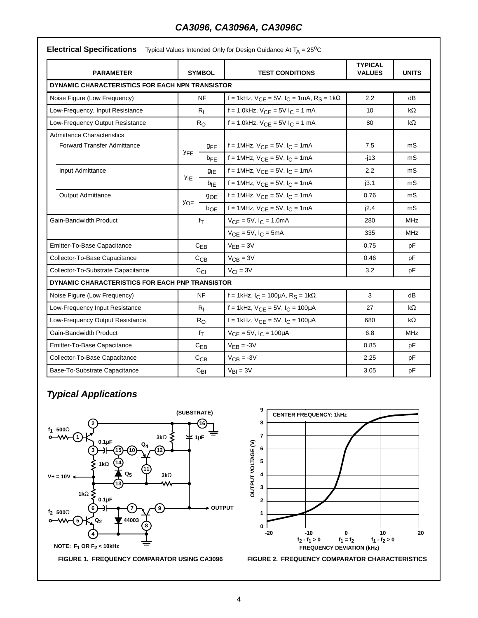# **CA3096, CA3096A, CA3096C**

## **Electrical Specifications** Typical Values Intended Only for Design Guidance At T<sub>A</sub> = 25<sup>o</sup>C

| <b>PARAMETER</b>                                | <b>SYMBOL</b> |                 | <b>TEST CONDITIONS</b>                         | <b>TYPICAL</b><br><b>VALUES</b> | <b>UNITS</b> |
|-------------------------------------------------|---------------|-----------------|------------------------------------------------|---------------------------------|--------------|
| DYNAMIC CHARACTERISTICS FOR EACH NPN TRANSISTOR |               |                 |                                                |                                 |              |
| Noise Figure (Low Frequency)                    | <b>NF</b>     | 2.2             | dB                                             |                                 |              |
| Low-Frequency, Input Resistance                 |               | $R_{I}$         | $f = 1.0$ kHz, $V_{CE} = 5V I_C = 1$ mA        | 10                              | kΩ           |
| Low-Frequency Output Resistance                 |               | $R_{\rm O}$     | $f = 1.0$ kHz, $V_{CE} = 5V I_C = 1$ mA        | 80                              | kΩ           |
| <b>Admittance Characteristics</b>               |               |                 |                                                |                                 |              |
| <b>Forward Transfer Admittance</b>              | <b>YFE</b>    | <b>GFE</b>      | f = 1MHz, $V_{CE}$ = 5V, $I_C$ = 1mA           | 7.5                             | mS           |
|                                                 |               | $b_{FF}$        | f = 1MHz, $V_{CE}$ = 5V, $I_C$ = 1mA           | -i13                            | mS           |
| Input Admittance                                |               | $g_{IE}$        | f = 1MHz, $V_{CF}$ = 5V, $I_C$ = 1mA           | 2.2                             | mS           |
|                                                 | <b>YIE</b>    | b <sub>IF</sub> | $f = 1$ MHz, $V_{CE} = 5V$ , $I_C = 1$ mA      | i3.1                            | mS           |
| <b>Output Admittance</b>                        |               | <b>9OE</b>      | $f = 1$ MHz, $V_{CE} = 5V$ , $I_C = 1mA$       | 0.76                            | mS           |
|                                                 | <b>YOE</b>    | $b_{OE}$        | f = 1MHz, $V_{CE}$ = 5V, $I_C$ = 1mA           | i2.4                            | mS           |
| Gain-Bandwidth Product                          |               | fτ              | $V_{CE} = 5V$ , $I_C = 1.0mA$                  | 280                             | MHz          |
|                                                 |               |                 | $V_{CF} = 5V$ , $I_C = 5mA$                    | 335                             | MHz          |
| Emitter-To-Base Capacitance                     |               | $C_{EB}$        | $V_{FB} = 3V$                                  | 0.75                            | pF           |
| Collector-To-Base Capacitance                   |               | C <sub>CB</sub> | $V_{CB} = 3V$                                  | 0.46                            | pF           |
| Collector-To-Substrate Capacitance              |               | C <sub>CI</sub> | $V_{CI} = 3V$                                  | 3.2                             | рF           |
| DYNAMIC CHARACTERISTICS FOR EACH PNP TRANSISTOR |               |                 |                                                |                                 |              |
| Noise Figure (Low Frequency)                    |               | <b>NF</b>       | f = 1kHz, $I_C$ = 100µA, $R_S$ = 1k $\Omega$   | 3                               | dB           |
| Low-Frequency Input Resistance                  |               | $R_{I}$         | $f = 1$ kHz, $V_{CE} = 5V$ , $I_C = 100 \mu A$ | 27                              | kΩ           |
| Low-Frequency Output Resistance                 |               | $R_{\rm O}$     | f = 1kHz, $V_{CE}$ = 5V, $I_C$ = 100µA         | 680                             | kΩ           |
| Gain-Bandwidth Product                          |               | fτ              | $V_{CE} = 5V$ , $I_C = 100 \mu A$              | 6.8                             | MHz          |
| Emitter-To-Base Capacitance                     |               | $C_{EB}$        | $V_{EB} = -3V$                                 | 0.85                            | pF           |
| Collector-To-Base Capacitance                   |               | $C_{CB}$        | $V_{CB} = -3V$                                 | 2.25                            | pF           |
| Base-To-Substrate Capacitance                   |               | $C_{BI}$        | $V_{BI} = 3V$                                  | 3.05                            | pF           |

# **Typical Applications**



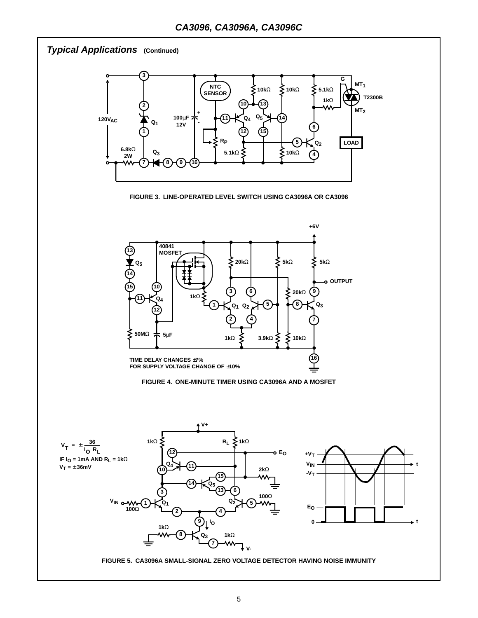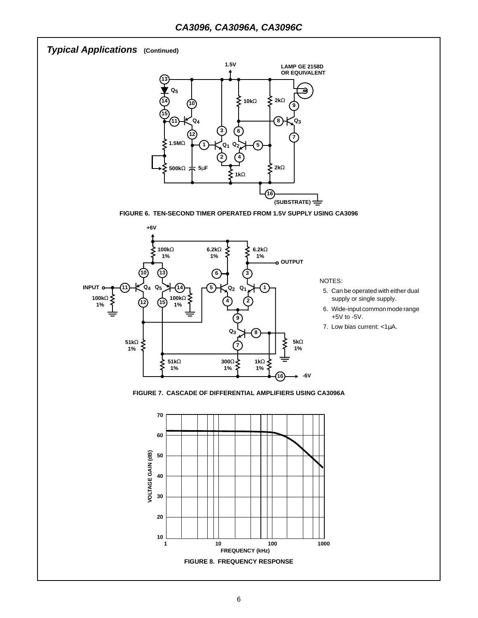# **Typical Applications (Continued)**



**FIGURE 6. TEN-SECOND TIMER OPERATED FROM 1.5V SUPPLY USING CA3096**



NOTES:

- 5. Can be operated with either dual supply or single supply.
- 6. Wide-input common mode range +5V to -5V.
- 7. Low bias current: <1µA.

**FIGURE 7. CASCADE OF DIFFERENTIAL AMPLIFIERS USING CA3096A**

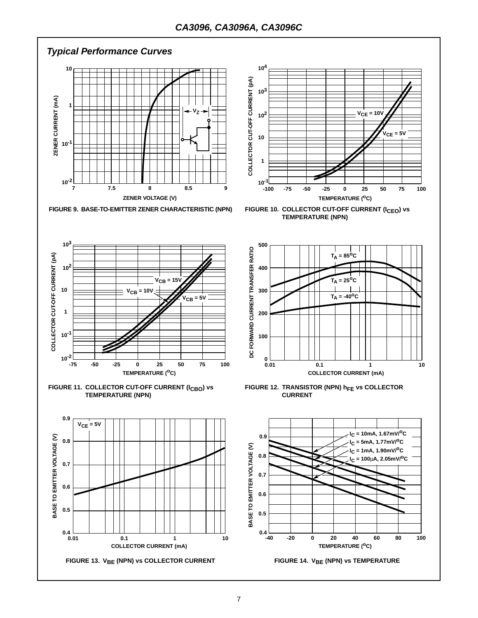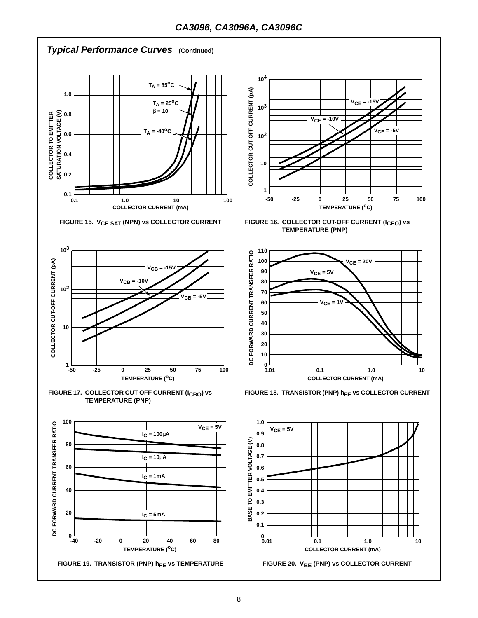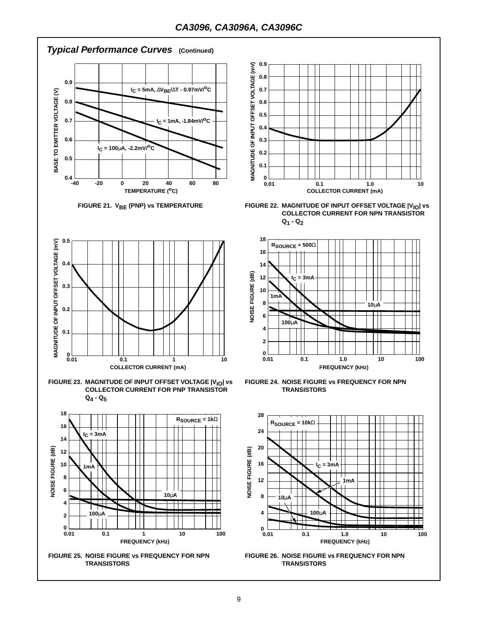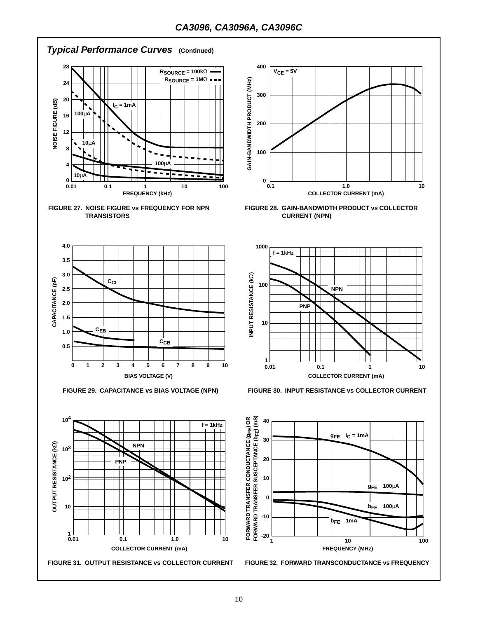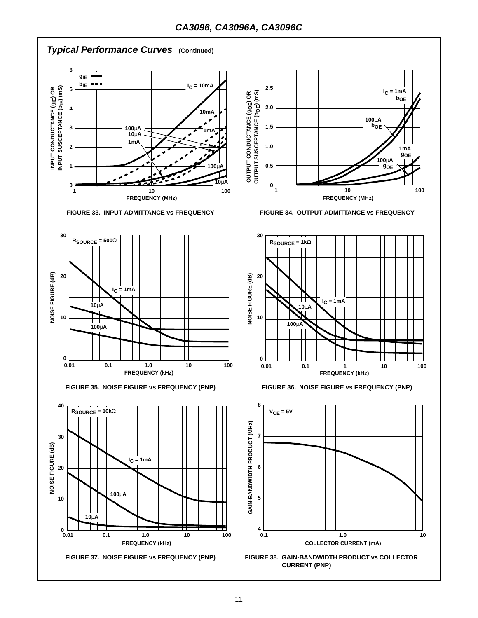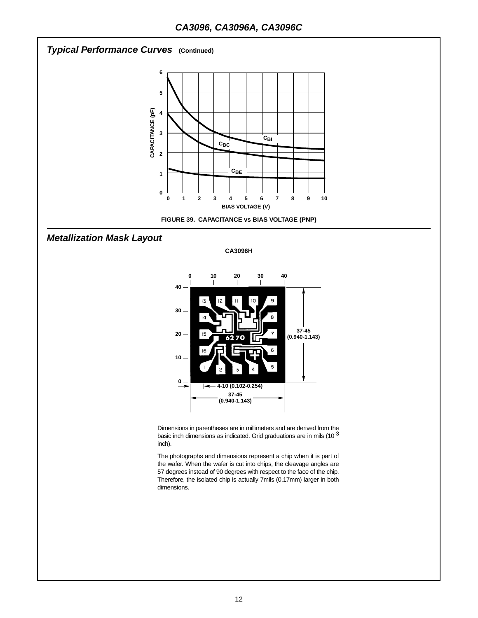

**CA3096H**



Dimensions in parentheses are in millimeters and are derived from the basic inch dimensions as indicated. Grid graduations are in mils  $(10^{-3}$ inch).

The photographs and dimensions represent a chip when it is part of the wafer. When the wafer is cut into chips, the cleavage angles are 57 degrees instead of 90 degrees with respect to the face of the chip. Therefore, the isolated chip is actually 7mils (0.17mm) larger in both dimensions.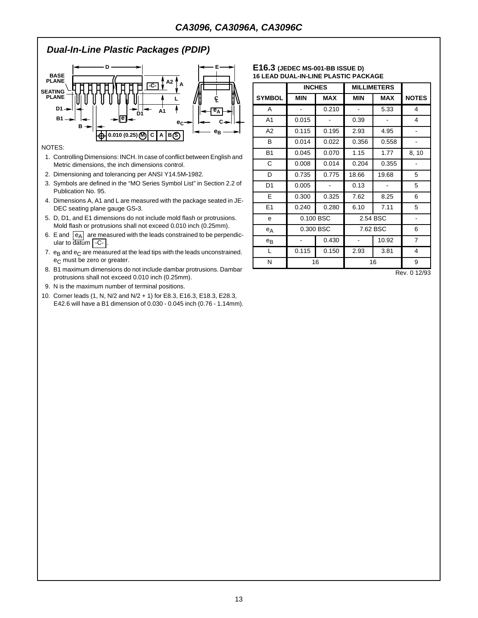## **Dual-In-Line Plastic Packages (PDIP)**



#### NOTES:

- 1. Controlling Dimensions: INCH. In case of conflict between English and Metric dimensions, the inch dimensions control.
- 2. Dimensioning and tolerancing per ANSI Y14.5M**-**1982.
- 3. Symbols are defined in the "MO Series Symbol List" in Section 2.2 of Publication No. 95.
- 4. Dimensions A, A1 and L are measured with the package seated in JE-DEC seating plane gauge GS**-**3.
- 5. D, D1, and E1 dimensions do not include mold flash or protrusions. Mold flash or protrusions shall not exceed 0.010 inch (0.25mm).
- 6. E and  $|e_A|$  are measured with the leads constrained to be perpendicular to <del>dat</del>um | -C- |.
- 7.  $e_B$  and  $e_C$  are measured at the lead tips with the leads unconstrained. e<sub>C</sub> must be zero or greater.
- 8. B1 maximum dimensions do not include dambar protrusions. Dambar protrusions shall not exceed 0.010 inch (0.25mm).
- 9. N is the maximum number of terminal positions.
- 10. Corner leads (1, N, N/2 and N/2 + 1) for E8.3, E16.3, E18.3, E28.3, E42.6 will have a B1 dimension of 0.030 - 0.045 inch (0.76 - 1.14mm).

#### **E16.3 (JEDEC MS-001-BB ISSUE D) 16 LEAD DUAL-IN-LINE PLASTIC PACKAGE**

|                |            | <b>INCHES</b> |            | <b>MILLIMETERS</b> |                |
|----------------|------------|---------------|------------|--------------------|----------------|
| <b>SYMBOL</b>  | <b>MIN</b> | <b>MAX</b>    | <b>MIN</b> | <b>MAX</b>         | <b>NOTES</b>   |
| A              |            | 0.210         |            | 5.33               | 4              |
| A <sub>1</sub> | 0.015      |               | 0.39       |                    | 4              |
| A2             | 0.115      | 0.195         | 2.93       | 4.95               |                |
| B              | 0.014      | 0.022         | 0.356      | 0.558              |                |
| <b>B1</b>      | 0.045      | 0.070         | 1.15       | 1.77               | 8, 10          |
| С              | 0.008      | 0.014         | 0.204      | 0.355              |                |
| D              | 0.735      | 0.775         | 18.66      | 19.68              | 5              |
| D <sub>1</sub> | 0.005      |               | 0.13       |                    | 5              |
| E              | 0.300      | 0.325         | 7.62       | 8.25               | 6              |
| E <sub>1</sub> | 0.240      | 0.280         | 6.10       | 7.11               | 5              |
| e              |            | 0.100 BSC     | 2.54 BSC   |                    |                |
| $e_A$          |            | 0.300 BSC     |            | 7.62 BSC           |                |
| $e_{B}$        |            | 0.430         |            | 10.92              | $\overline{7}$ |
| L              | 0.115      | 0.150         | 2.93       | 3.81               | 4              |
| Ν              |            | 16            |            | 16                 | 9              |

Rev. 0 12/93